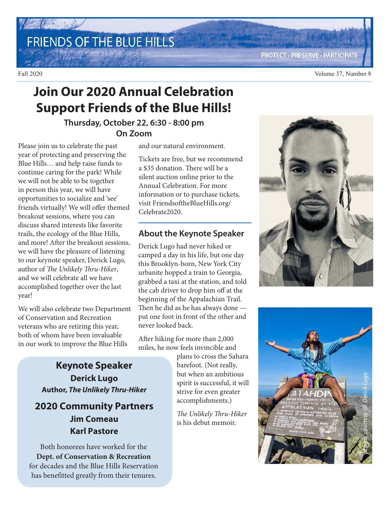FRIENDS OF THE BLUE HILLS

**PROTECT · PRESERVE · PARTICIPATE** 

## **Join Our 2020 Annual Celebration Support Friends of the Blue Hills!**

#### **Thursday, October 22, 6:30 - 8:00 pm On Zoom**

Please join us to celebrate the past year of protecting and preserving the Blue Hills… and help raise funds to continue caring for the park! While we will not be able to be together in person this year, we will have opportunities to socialize and 'see' friends virtually! We will offer themed breakout sessions, where you can discuss shared interests like favorite trails, the ecology of the Blue Hills, and more! After the breakout sessions, we will have the pleasure of listening to our keynote speaker, Derick Lugo, author of The Unlikely Thru-Hiker, and we will celebrate all we have accomplished together over the last year!

We will also celebrate two Department of Conservation and Recreation veterans who are retiring this year, both of whom have been invaluable in our work to improve the Blue Hills

> **Keynote Speaker Derick Lugo Author, The Unlikely Thru-Hiker**

### **2020 Community Partners Jim Comeau Karl Pastore**

Both honorees have worked for the **Dept. of Conservation & Recreation**  for decades and the Blue Hills Reservation has benefitted greatly from their tenures.

and our natural environment.

Tickets are free, but we recommend a \$35 donation. There will be a silent auction online prior to the Annual Celebration. For more information or to purchase tickets, visit FriendsoftheBlueHills.org/ Celebrate2020.

#### **About the Keynote Speaker**

Derick Lugo had never hiked or camped a day in his life, but one day this Brooklyn-born, New York City urbanite hopped a train to Georgia, grabbed a taxi at the station, and told the cab driver to drop him off at the beginning of the Appalachian Trail. Then he did as he has always done put one foot in front of the other and never looked back.

After hiking for more than 2,000 miles, he now feels invincible and

plans to cross the Sahara barefoot. (Not really, but when an ambitious spirit is successful, it will strive for even greater accomplishments.)

The Unlikely Thru-Hiker is his debut memoir.



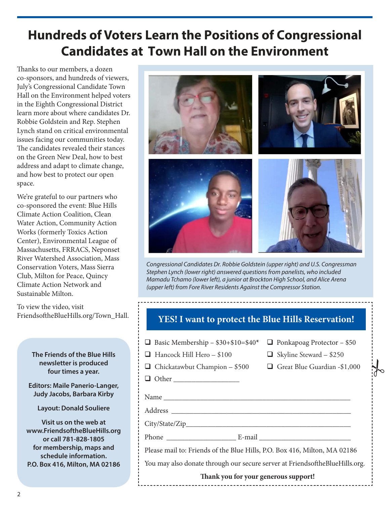# **Hundreds of Voters Learn the Positions of Congressional Candidates at Town Hall on the Environment**

Thanks to our members, a dozen co-sponsors, and hundreds of viewers, July's Congressional Candidate Town Hall on the Environment helped voters in the Eighth Congressional District learn more about where candidates Dr. Robbie Goldstein and Rep. Stephen Lynch stand on critical environmental issues facing our communities today. The candidates revealed their stances on the Green New Deal, how to best address and adapt to climate change, and how best to protect our open space.

We're grateful to our partners who co-sponsored the event: Blue Hills Climate Action Coalition, Clean Water Action, Community Action Works (formerly Toxics Action Center), Environmental League of Massachusetts, FRRACS, Neponset River Watershed Association, Mass Conservation Voters, Mass Sierra Club, Milton for Peace, Quincy Climate Action Network and Sustainable Milton.

To view the video, visit FriendsoftheBlueHills.org/Town\_Hall.

> **The Friends of the Blue Hills newsletter is produced four times a year.**

**Editors: Maile Panerio-Langer, Judy Jacobs, Barbara Kirby**

**Layout: Donald Souliere**

**Visit us on the web at www.FriendsoftheBlueHills.org or call 781-828-1805 for membership, maps and schedule information. P.O. Box 416, Milton, MA 02186**



Congressional Candidates Dr. Robbie Goldstein (upper right) and U.S. Congressman Stephen Lynch (lower right) answered questions from panelists, who included Mamadu Tchamo (lower left), a junior at Brockton High School, and Alice Arena (upper left) from Fore River Residents Against the Compressor Station.

#### **YES! I want to protect the Blue Hills Reservation!**

| <b><math>\Box</math></b> Basic Membership - \$30+\$10=\$40* $\Box$ Ponkapoag Protector - \$50 |  |
|-----------------------------------------------------------------------------------------------|--|
|-----------------------------------------------------------------------------------------------|--|

- $\Box$  Hancock Hill Hero \$100  $\Box$  Skyline Steward \$250
- $\Box$  Chickatawbut Champion \$500  $\Box$  Great Blue Guardian -\$1,000
- 

 $\frac{1}{6}$ 

Other \_\_\_\_\_\_\_\_\_\_\_\_\_\_\_\_\_\_

Address \_\_\_\_\_\_\_\_\_\_\_\_\_\_\_\_\_\_\_\_\_\_\_\_\_\_\_\_\_\_\_\_\_\_\_\_\_\_\_\_\_\_\_\_\_\_\_\_\_

City/State/Zip\_\_\_\_\_\_\_\_\_\_\_\_\_\_\_\_\_\_\_\_\_\_\_\_\_\_\_\_\_\_\_\_\_\_\_\_\_\_\_\_\_\_\_\_\_

Phone \_\_\_\_\_\_\_\_\_\_\_\_\_\_\_\_\_\_\_ E-mail \_\_\_\_\_\_\_\_\_\_\_\_\_\_\_\_\_\_\_\_\_\_\_\_\_

Please mail to: Friends of the Blue Hills, P.O. Box 416, Milton, MA 02186

Name

You may also donate through our secure server at FriendsoftheBlueHills.org.

#### **Thank you for your generous support!**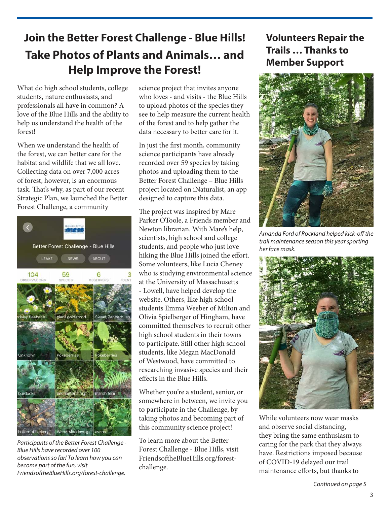## **Join the Better Forest Challenge - Blue Hills! Take Photos of Plants and Animals… and Help Improve the Forest!**

What do high school students, college students, nature enthusiasts, and professionals all have in common? A love of the Blue Hills and the ability to help us understand the health of the forest!

When we understand the health of the forest, we can better care for the habitat and wildlife that we all love. Collecting data on over 7,000 acres of forest, however, is an enormous task. That's why, as part of our recent Strategic Plan, we launched the Better Forest Challenge, a community



Participants of the Better Forest Challenge - Blue Hills have recorded over 100 observations so far! To learn how you can become part of the fun, visit FriendsoftheBlueHills.org/forest-challenge.

science project that invites anyone who loves - and visits - the Blue Hills to upload photos of the species they see to help measure the current health of the forest and to help gather the data necessary to better care for it.

In just the first month, community science participants have already recorded over 59 species by taking photos and uploading them to the Better Forest Challenge – Blue Hills project located on iNaturalist, an app designed to capture this data.

The project was inspired by Mare Parker OToole, a Friends member and Newton librarian. With Mare's help, scientists, high school and college students, and people who just love hiking the Blue Hills joined the effort. Some volunteers, like Lucia Cheney who is studying environmental science at the University of Massachusetts - Lowell, have helped develop the website. Others, like high school students Emma Weeber of Milton and Olivia Spielberger of Hingham, have committed themselves to recruit other high school students in their towns to participate. Still other high school students, like Megan MacDonald of Westwood, have committed to researching invasive species and their effects in the Blue Hills.

Whether you're a student, senior, or somewhere in between, we invite you to participate in the Challenge, by taking photos and becoming part of this community science project!

To learn more about the Better Forest Challenge - Blue Hills, visit FriendsoftheBlueHills.org/forestchallenge.

### **Volunteers Repair the Trails … Thanks to Member Support**



Amanda Ford of Rockland helped kick-off the trail maintenance season this year sporting her face mask.



While volunteers now wear masks and observe social distancing, they bring the same enthusiasm to caring for the park that they always have. Restrictions imposed because of COVID-19 delayed our trail maintenance efforts, but thanks to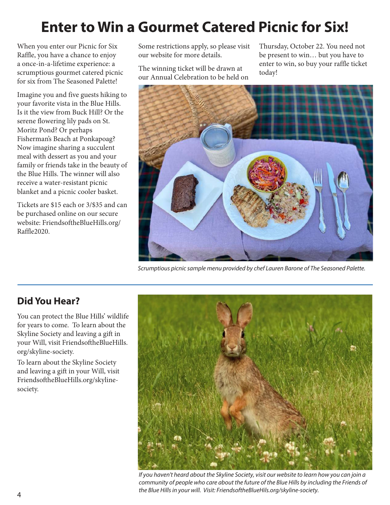# **Enter to Win a Gourmet Catered Picnic for Six!**

When you enter our Picnic for Six Raffle, you have a chance to enjoy a once-in-a-lifetime experience: a scrumptious gourmet catered picnic for six from The Seasoned Palette!

Imagine you and five guests hiking to your favorite vista in the Blue Hills. Is it the view from Buck Hill? Or the serene flowering lily pads on St. Moritz Pond? Or perhaps Fisherman's Beach at Ponkapoag? Now imagine sharing a succulent meal with dessert as you and your family or friends take in the beauty of the Blue Hills. The winner will also receive a water-resistant picnic blanket and a picnic cooler basket.

Tickets are \$15 each or 3/\$35 and can be purchased online on our secure website: FriendsoftheBlueHills.org/ Raffle2020.

Some restrictions apply, so please visit our website for more details.

The winning ticket will be drawn at our Annual Celebration to be held on Thursday, October 22. You need not be present to win… but you have to enter to win, so buy your raffle ticket today!



Scrumptious picnic sample menu provided by chef Lauren Barone of The Seasoned Palette.

### **Did You Hear?**

You can protect the Blue Hills' wildlife for years to come. To learn about the Skyline Society and leaving a gift in your Will, visit FriendsoftheBlueHills. org/skyline-society.

To learn about the Skyline Society and leaving a gift in your Will, visit FriendsoftheBlueHills.org/skylinesociety.



If you haven't heard about the Skyline Society, visit our website to learn how you can join a community of people who care about the future of the Blue Hills by including the Friends of the Blue Hills in your will. Visit: FriendsoftheBlueHils.org/skyline-society.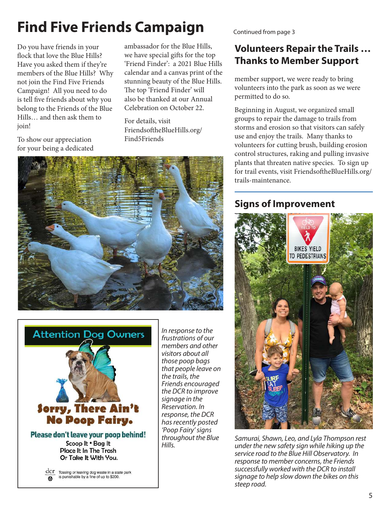# **Find Five Friends Campaign**

Do you have friends in your flock that love the Blue Hills? Have you asked them if they're members of the Blue Hills? Why not join the Find Five Friends Campaign! All you need to do is tell five friends about why you belong to the Friends of the Blue Hills… and then ask them to join!

ambassador for the Blue Hills, we have special gifts for the top 'Friend Finder': a 2021 Blue Hills calendar and a canvas print of the stunning beauty of the Blue Hills. The top 'Friend Finder' will also be thanked at our Annual Celebration on October 22.

For details, visit FriendsoftheBlueHills.org/ Find5Friends

To show our appreciation for your being a dedicated





In response to the frustrations of our members and other visitors about all those poop bags that people leave on the trails, the Friends encouraged the DCR to improve signage in the Reservation. In response, the DCR has recently posted 'Poop Fairy' signs throughout the Blue Hills.

Continued from page 3

### **Volunteers Repair the Trails … Thanks to Member Support**

member support, we were ready to bring volunteers into the park as soon as we were permitted to do so.

Beginning in August, we organized small groups to repair the damage to trails from storms and erosion so that visitors can safely use and enjoy the trails. Many thanks to volunteers for cutting brush, building erosion control structures, raking and pulling invasive plants that threaten native species. To sign up for trail events, visit FriendsoftheBlueHills.org/ trails-maintenance.

### **Signs of Improvement**



Samurai, Shawn, Leo, and Lyla Thompson rest under the new safety sign while hiking up the service road to the Blue Hill Observatory. In response to member concerns, the Friends successfully worked with the DCR to install signage to help slow down the bikes on this steep road.